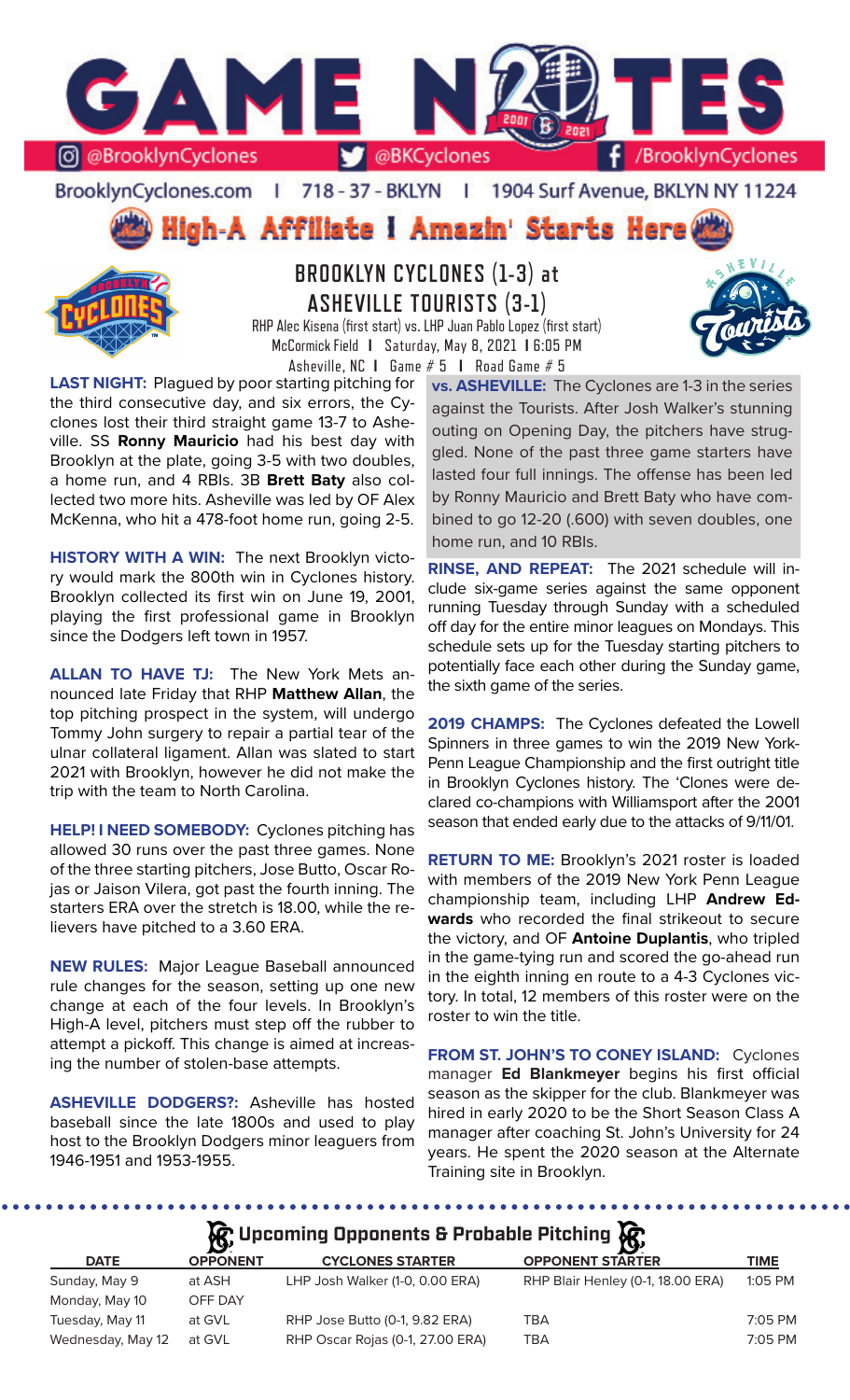

BrooklynCyclones.com | 718 - 37 - BKLYN | 1904 Surf Avenue, BKLYN NY 11224

High-A Affiliate I Amazin' Starts Here



# **BROOKLYN CYCLONES (1-3) at ASHEVILLE TOURISTS (3-1)**

RHP Alec Kisena (first start) vs. LHP Juan Pablo Lopez (first start) McCormick Field **I** Saturday, May 8, 2021 **I** 6:05 PM Asheville, NC **I** Game # 5 **I** Road Game # 5

**LAST NIGHT:** Plagued by poor starting pitching for the third consecutive day, and six errors, the Cyclones lost their third straight game 13-7 to Asheville. SS **Ronny Mauricio** had his best day with Brooklyn at the plate, going 3-5 with two doubles, a home run, and 4 RBIs. 3B **Brett Baty** also collected two more hits. Asheville was led by OF Alex McKenna, who hit a 478-foot home run, going 2-5.

**HISTORY WITH A WIN:** The next Brooklyn victory would mark the 800th win in Cyclones history. Brooklyn collected its first win on June 19, 2001, playing the first professional game in Brooklyn since the Dodgers left town in 1957.

**ALLAN TO HAVE TJ:** The New York Mets announced late Friday that RHP **Matthew Allan**, the top pitching prospect in the system, will undergo Tommy John surgery to repair a partial tear of the ulnar collateral ligament. Allan was slated to start 2021 with Brooklyn, however he did not make the trip with the team to North Carolina.

**HELP! I NEED SOMEBODY:** Cyclones pitching has allowed 30 runs over the past three games. None of the three starting pitchers, Jose Butto, Oscar Rojas or Jaison Vilera, got past the fourth inning. The starters ERA over the stretch is 18.00, while the relievers have pitched to a 3.60 ERA.

**NEW RULES:** Major League Baseball announced rule changes for the season, setting up one new change at each of the four levels. In Brooklyn's High-A level, pitchers must step off the rubber to attempt a pickoff. This change is aimed at increasing the number of stolen-base attempts.

**ASHEVILLE DODGERS?:** Asheville has hosted baseball since the late 1800s and used to play host to the Brooklyn Dodgers minor leaguers from 1946-1951 and 1953-1955.

**vs. ASHEVILLE:** The Cyclones are 1-3 in the series against the Tourists. After Josh Walker's stunning outing on Opening Day, the pitchers have struggled. None of the past three game starters have lasted four full innings. The offense has been led by Ronny Mauricio and Brett Baty who have combined to go 12-20 (.600) with seven doubles, one home run, and 10 RBIs.

**RINSE, AND REPEAT:** The 2021 schedule will include six-game series against the same opponent running Tuesday through Sunday with a scheduled off day for the entire minor leagues on Mondays. This schedule sets up for the Tuesday starting pitchers to potentially face each other during the Sunday game, the sixth game of the series.

**2019 CHAMPS:** The Cyclones defeated the Lowell Spinners in three games to win the 2019 New York-Penn League Championship and the first outright title in Brooklyn Cyclones history. The 'Clones were declared co-champions with Williamsport after the 2001 season that ended early due to the attacks of 9/11/01.

**RETURN TO ME:** Brooklyn's 2021 roster is loaded with members of the 2019 New York Penn League championship team, including LHP **Andrew Edwards** who recorded the final strikeout to secure the victory, and OF **Antoine Duplantis**, who tripled in the game-tying run and scored the go-ahead run in the eighth inning en route to a 4-3 Cyclones victory. In total, 12 members of this roster were on the roster to win the title.

**FROM ST. JOHN'S TO CONEY ISLAND:** Cyclones manager **Ed Blankmeyer** begins his first official season as the skipper for the club. Blankmeyer was hired in early 2020 to be the Short Season Class A manager after coaching St. John's University for 24 years. He spent the 2020 season at the Alternate Training site in Brooklyn.

**A**: Upcoming Opponents & Probable Pitching  $\mathbb{R}$ 

|                   | $\mathbf{r}$    |                                  | $\mathbf{v}$                      |           |
|-------------------|-----------------|----------------------------------|-----------------------------------|-----------|
| <b>DATE</b>       | <b>OPPONENT</b> | <b>CYCLONES STARTER</b>          | <b>OPPONENT STARTER</b>           | TIME      |
| Sunday, May 9     | at ASH          | LHP Josh Walker (1-0, 0.00 ERA)  | RHP Blair Henley (0-1, 18.00 ERA) | 1:05 PM   |
| Monday, May 10    | OFF DAY         |                                  |                                   |           |
| Tuesday, May 11   | at GVL          | RHP Jose Butto (0-1, 9.82 ERA)   | TBA                               | $7:05$ PM |
| Wednesday, May 12 | at GVL          | RHP Oscar Rojas (0-1, 27.00 ERA) | TBA                               | 7:05 PM   |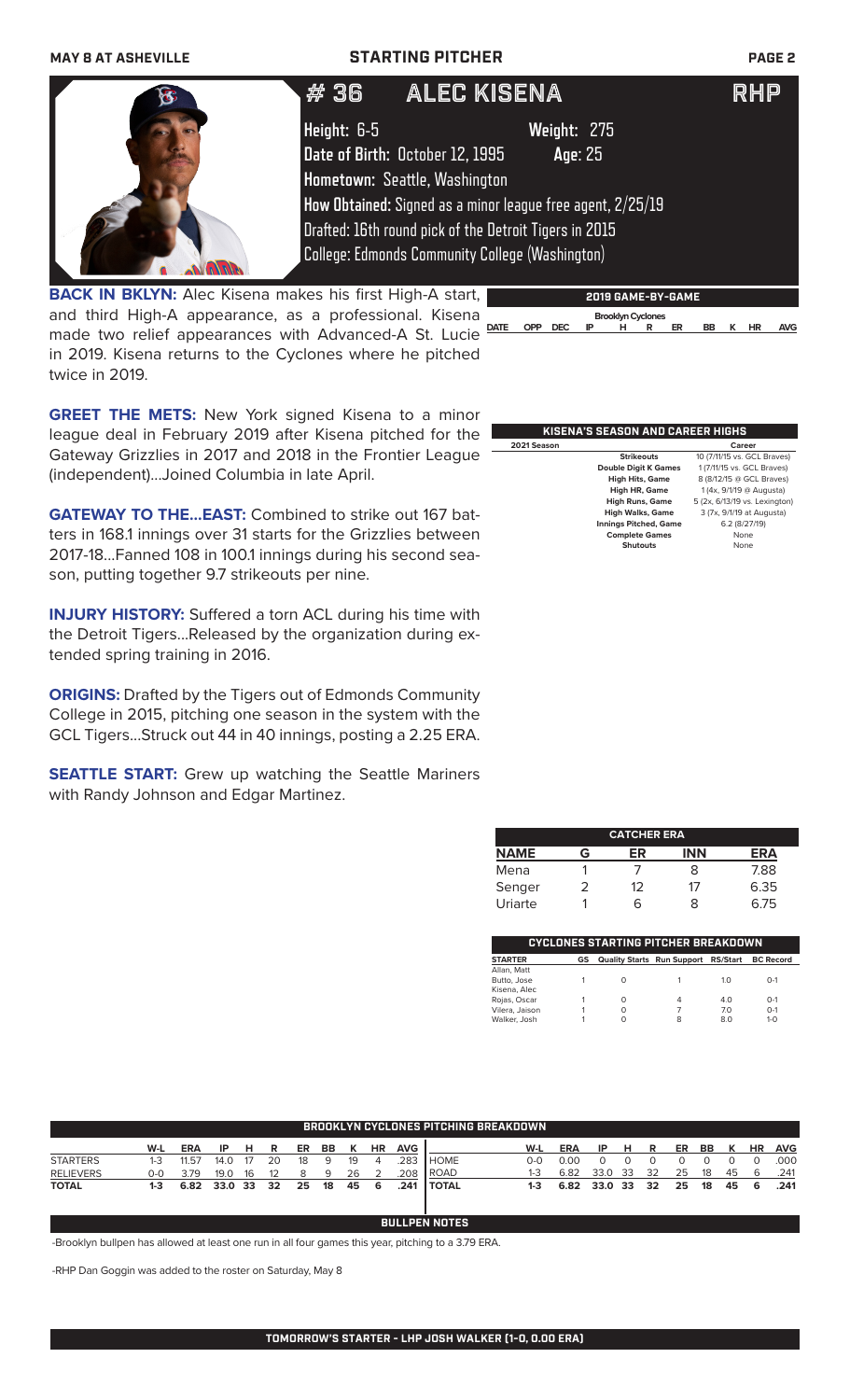**MAY 8 AT ASHEVILLE STARTING PITCHER PAGE 2**

|                                                                 | ALEC KISENA<br>#36                                         |                          | RHP |
|-----------------------------------------------------------------|------------------------------------------------------------|--------------------------|-----|
|                                                                 | Height: 6-5                                                | Weight: 275              |     |
|                                                                 | Date of Birth: October 12, 1995                            | Age: 25                  |     |
|                                                                 | Hometown: Seattle, Washington                              |                          |     |
|                                                                 | How Obtained: Signed as a minor league free agent, 2/25/19 |                          |     |
|                                                                 | Drafted: 16th round pick of the Detroit Tigers in 2015     |                          |     |
|                                                                 | <b>College: Edmonds Community College (Washington)</b>     |                          |     |
| <b>BACK IN BKLYN:</b> Alec Kisena makes his first High-A start, |                                                            | <b>2019 GAME-BY-GAME</b> |     |

and third High-A appearance, as a professional. Kisena made two relief appearances with Advanced-A St. Lucie **DATE OPP DEC IP H R ER BB K HR AVG**in 2019. Kisena returns to the Cyclones where he pitched twice in 2019.



**GREET THE METS:** New York signed Kisena to a minor league deal in February 2019 after Kisena pitched for the Gateway Grizzlies in 2017 and 2018 in the Frontier League (independent)...Joined Columbia in late April.

**GATEWAY TO THE...EAST:** Combined to strike out 167 batters in 168.1 innings over 31 starts for the Grizzlies between 2017-18...Fanned 108 in 100.1 innings during his second season, putting together 9.7 strikeouts per nine.

**INJURY HISTORY:** Suffered a torn ACL during his time with the Detroit Tigers...Released by the organization during extended spring training in 2016.

**ORIGINS:** Drafted by the Tigers out of Edmonds Community College in 2015, pitching one season in the system with the GCL Tigers...Struck out 44 in 40 innings, posting a 2.25 ERA.

**SEATTLE START:** Grew up watching the Seattle Mariners with Randy Johnson and Edgar Martinez.

| KISENA'S SEASON AND CAREER HIGHS |                              |                               |  |  |  |
|----------------------------------|------------------------------|-------------------------------|--|--|--|
| 2021 Season                      |                              | Career                        |  |  |  |
|                                  | <b>Strikeouts</b>            | 10 (7/11/15 vs. GCL Braves)   |  |  |  |
|                                  | <b>Double Digit K Games</b>  | 1 (7/11/15 vs. GCL Braves)    |  |  |  |
|                                  | <b>High Hits, Game</b>       | 8 (8/12/15 @ GCL Braves)      |  |  |  |
|                                  | High HR, Game                | 1 (4x, 9/1/19 @ Augusta)      |  |  |  |
|                                  | <b>High Runs, Game</b>       | 5 (2x, 6/13/19 vs. Lexington) |  |  |  |
|                                  | <b>High Walks, Game</b>      | 3 (7x, 9/1/19 at Augusta)     |  |  |  |
|                                  | <b>Innings Pitched, Game</b> | 6.2(8/27/19)                  |  |  |  |
|                                  | <b>Complete Games</b>        | None                          |  |  |  |
|                                  | <b>Shutouts</b>              | None                          |  |  |  |
|                                  |                              |                               |  |  |  |

| <b>CATCHER ERA</b> |   |    |            |      |  |  |
|--------------------|---|----|------------|------|--|--|
| <b>NAME</b>        | G | ER | <b>INN</b> | ERA  |  |  |
| Mena               |   |    | 8          | 7.88 |  |  |
| Senger             |   | 12 | 17         | 6.35 |  |  |
| Uriarte            |   | 6  | x          | 6.75 |  |  |

| <b>CYCLONES STARTING PITCHER BREAKDOWN</b> |    |                                     |   |            |                  |  |  |  |
|--------------------------------------------|----|-------------------------------------|---|------------|------------------|--|--|--|
|                                            |    |                                     |   |            |                  |  |  |  |
| <b>STARTER</b>                             | GS | Quality Starts Run Support RS/Start |   |            | <b>BC Record</b> |  |  |  |
| Allan, Matt                                |    |                                     |   |            |                  |  |  |  |
| Butto, Jose                                |    | Ω                                   |   | 1 $\Omega$ | $O-1$            |  |  |  |
| Kisena, Alec                               |    |                                     |   |            |                  |  |  |  |
| Rojas, Oscar                               |    | $\Omega$                            | 4 | 4.0        | $O-1$            |  |  |  |
| Vilera, Jaison                             |    | Ω                                   |   | 70         | $O-1$            |  |  |  |
| Walker, Josh                               |    | Ω                                   | 8 | 8.0        | $1 - 0$          |  |  |  |
|                                            |    |                                     |   |            |                  |  |  |  |

| ' BROOKLYN CYCLONES PITCHING BREAKDOWN . |       |              |      |    |    |    |    |    |           |            |               |       |            |         |      |    |    |    |    |           |            |
|------------------------------------------|-------|--------------|------|----|----|----|----|----|-----------|------------|---------------|-------|------------|---------|------|----|----|----|----|-----------|------------|
|                                          | W-L   | <b>ERA</b>   | -IP  | н  | R  | ER | BB | к  | <b>HR</b> | <b>AVG</b> |               | W-L   | <b>ERA</b> | IP      | н    | R  | ER | BB | к  | <b>HR</b> | <b>AVG</b> |
| <b>STARTERS</b>                          | $1-3$ | 11.57        | 14.0 | 17 | 20 | 18 | 9  | 19 | $\Delta$  | 283        | <b>I</b> HOME | $O-O$ | 0.00       |         |      |    |    |    |    |           | .000       |
| <b>RELIEVERS</b>                         | 0-0   | 3.79         | 19.0 | 16 | 12 |    | q  | 26 |           | .208       | <b>I</b> ROAD | 1-3   | 6.82       | 33.0    | - 33 | 32 | 25 | 18 | 45 | -6        | .241       |
| <b>TOTAL</b>                             | 1-3   | 6.82 33.0 33 |      |    | 32 | 25 | 18 | 45 | -6        | .241       | <b>TOTAL</b>  | 1-3   | 6.82       | 33.0 33 |      | 32 | 25 | 18 | 45 | -6        | .241       |

**BULLPEN NOTES**

-Brooklyn bullpen has allowed at least one run in all four games this year, pitching to a 3.79 ERA.

-RHP Dan Goggin was added to the roster on Saturday, May 8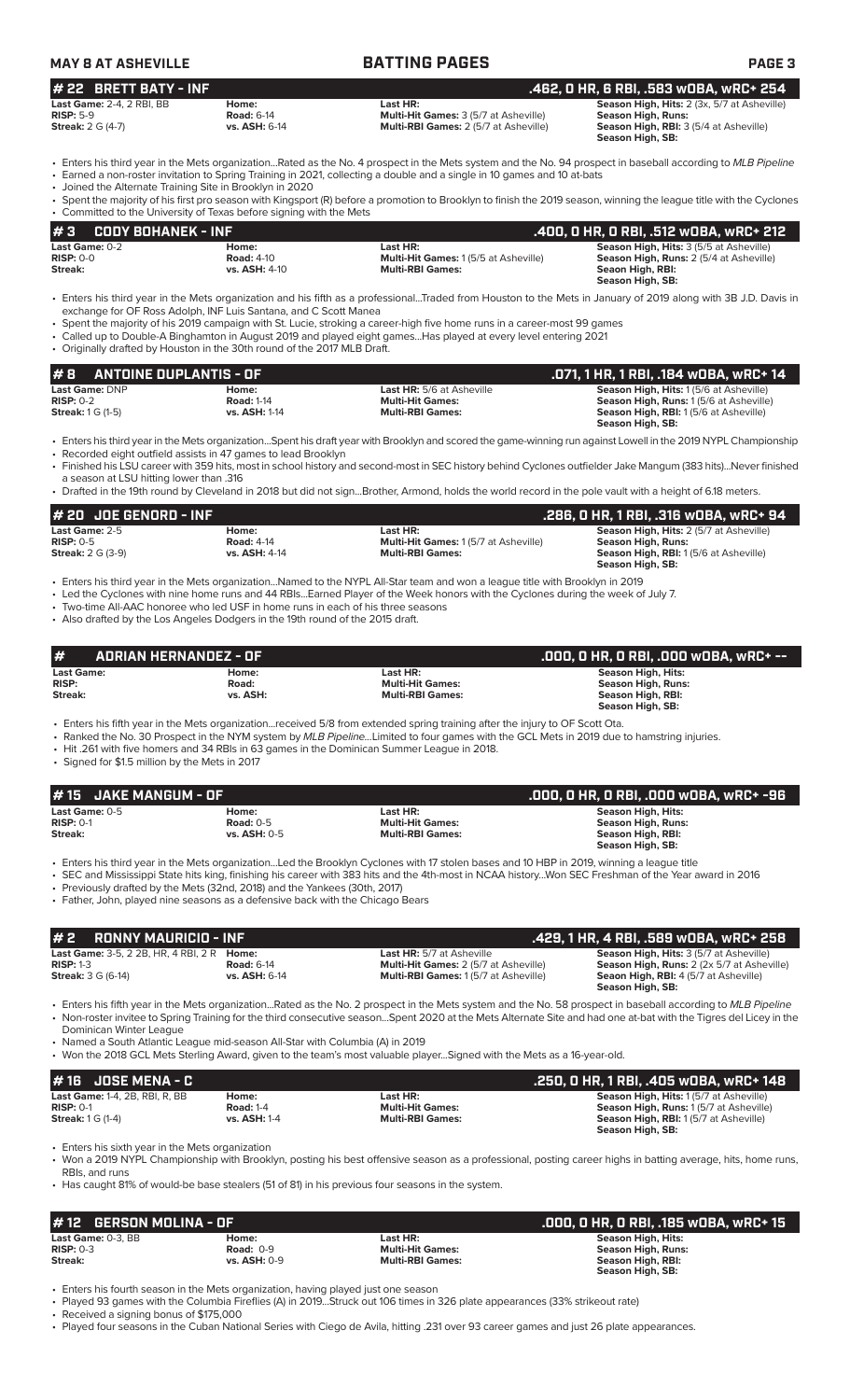| <b>MAY 8 AT ASHEVILLE</b>        |                   | <b>BATTING PAGES</b>                         | <b>PAGE 3</b>                                      |  |  |  |
|----------------------------------|-------------------|----------------------------------------------|----------------------------------------------------|--|--|--|
| # 22 BRETT BATY - INF            |                   |                                              | . .462. O HR. 6 RBI. .583 wOBA. wRC+ 254'          |  |  |  |
| <b>Last Game: 2-4, 2 RBI, BB</b> | Home:             | Last HR:                                     | <b>Season High, Hits:</b> 2 (3x, 5/7 at Asheville) |  |  |  |
| $RISP: 5-9$                      | <b>Road: 6-14</b> | <b>Multi-Hit Games:</b> 3 (5/7 at Asheville) | Season High, Runs:                                 |  |  |  |
| <b>Streak: 2 G (4-7)</b>         | vs. ASH: 6-14     | <b>Multi-RBI Games: 2 (5/7 at Asheville)</b> | <b>Season High, RBI: 3 (5/4 at Asheville)</b>      |  |  |  |

• Enters his third year in the Mets organization...Rated as the No. 4 prospect in the Mets system and the No. 94 prospect in baseball according to *MLB Pipeline*

• Earned a non-roster invitation to Spring Training in 2021, collecting a double and a single in 10 games and 10 at-bats

• Joined the Alternate Training Site in Brooklyn in 2020

• Spent the majority of his first pro season with Kingsport (R) before a promotion to Brooklyn to finish the 2019 season, winning the league title with the Cyclones rsity of Texas before signing with the Met $\,$ 

**Season High, SB:** 

|                          | Committed to the University of Texas Before Signing With the Mets |                                             |                                                |
|--------------------------|-------------------------------------------------------------------|---------------------------------------------|------------------------------------------------|
| $\#3$ CODY BOHANEK - INF |                                                                   |                                             | .400. 0 HR. 0 RBI. .512 w0BA. wRC+ 212         |
| <b>Last Game:</b> 0-2    | Home:                                                             | Last HR:                                    | <b>Season High, Hits: 3 (5/5 at Asheville)</b> |
| $RISP: 0-0$              | <b>Road: 4-10</b>                                                 | <b>Multi-Hit Games: 1(5/5 at Asheville)</b> | <b>Season High, Runs: 2 (5/4 at Asheville)</b> |
| Streak:                  | vs. ASH: 4-10                                                     | <b>Multi-RBI Games:</b>                     | Seaon High, RBI:                               |
|                          |                                                                   |                                             | Season High, SB:                               |

- Enters his third year in the Mets organization and his fifth as a professional...Traded from Houston to the Mets in January of 2019 along with 3B J.D. Davis in exchange for OF Ross Adolph, INF Luis Santana, and C Scott Manea
- Spent the majority of his 2019 campaign with St. Lucie, stroking a career-high five home runs in a career-most 99 games
- Called up to Double-A Binghamton in August 2019 and played eight games...Has played at every level entering 2021 • Originally drafted by Houston in the 30th round of the 2017 MLB Draft.

| #8<br>ANTOINE DUPLANTIS - OF         |                            |                                                             | .071, 1 HR, 1 RBI, .184 wOBA, wRC+ 14                                                   |
|--------------------------------------|----------------------------|-------------------------------------------------------------|-----------------------------------------------------------------------------------------|
| <b>Last Game: DNP</b><br>$RISP: 0-2$ | Home:<br><b>Road: 1-14</b> | <b>Last HR:</b> 5/6 at Asheville<br><b>Multi-Hit Games:</b> | <b>Season High, Hits: 1(5/6 at Asheville)</b><br>Season High, Runs: 1(5/6 at Asheville) |
| <b>Streak:</b> $1 \text{ G } (1-5)$  | <b>vs. ASH: 1-14</b>       | <b>Multi-RBI Games:</b>                                     | <b>Season High, RBI:</b> 1(5/6 at Asheville)                                            |
|                                      |                            |                                                             | Season High, SB:                                                                        |

• Enters his third year in the Mets organization...Spent his draft year with Brooklyn and scored the game-winning run against Lowell in the 2019 NYPL Championship • Recorded eight outfield assists in 47 games to lead Brooklyn

- 
- Finished his LSU career with 359 hits, most in school history and second-most in SEC history behind Cyclones outfielder Jake Mangum (383 hits)...Never finished a season at LSU hitting lower than .316
- Drafted in the 19th round by Cleveland in 2018 but did not sign...Brother, Armond, holds the world record in the pole vault with a height of 6.18 meters.

| # 20   JOE GENORD - INF  |                      |                                             | .286, 0 HR, 1 RBI, .316 wOBA, wRC+ 94          |
|--------------------------|----------------------|---------------------------------------------|------------------------------------------------|
| Last Game: 2-5           | Home:                | Last HR:                                    | <b>Season High, Hits: 2 (5/7 at Asheville)</b> |
| $RISP: 0-5$              | <b>Road: 4-14</b>    | <b>Multi-Hit Games: 1(5/7 at Asheville)</b> | Season High, Runs:                             |
| <b>Streak:</b> 2 G (3-9) | <b>vs. ASH: 4-14</b> | <b>Multi-RBI Games:</b>                     | <b>Season High, RBI:</b> 1 (5/6 at Asheville)  |
|                          |                      |                                             | Season High, SB:                               |

• Enters his third year in the Mets organization...Named to the NYPL All-Star team and won a league title with Brooklyn in 2019

- Led the Cyclones with nine home runs and 44 RBIs...Earned Player of the Week honors with the Cyclones during the week of July 7.
- Two-time All-AAC honoree who led USF in home runs in each of his three seasons
- Also drafted by the Los Angeles Dodgers in the 19th round of the 2015 draft.

| #                 | ADRIAN HERNANDEZ - OF |                         | .000, 0 HR, 0 RBI, .000 w0BA, wRC+ --' |
|-------------------|-----------------------|-------------------------|----------------------------------------|
| <b>Last Game:</b> | Home:                 | Last HR:                | Season High, Hits:                     |
| <b>RISP:</b>      | Road:                 | <b>Multi-Hit Games:</b> | Season High, Runs:                     |
| Streak:           | vs. ASH:              | <b>Multi-RBI Games:</b> | Season High, RBI:                      |
|                   |                       |                         | Season High, SB:                       |

• Enters his fifth year in the Mets organization...received 5/8 from extended spring training after the injury to OF Scott Ota.

• Ranked the No. 30 Prospect in the NYM system by *MLB Pipeline...*Limited to four games with the GCL Mets in 2019 due to hamstring injuries.

• Hit .261 with five homers and 34 RBIs in 63 games in the Dominican Summer League in 2018.

• Signed for \$1.5 million by the Mets in 2017

| $#15$ JAKE MANGUM - OF                     |                                             |                                                                                                                                           | .000. 0 HR. 0 RBI. .000 w0BA. wRC+ -96                                                   |
|--------------------------------------------|---------------------------------------------|-------------------------------------------------------------------------------------------------------------------------------------------|------------------------------------------------------------------------------------------|
| Last Game: $0-5$<br>$RISP: 0-1$<br>Streak: | Home:<br>Road: $0-5$<br><b>vs. ASH: 0-5</b> | Last HR:<br><b>Multi-Hit Games:</b><br><b>Multi-RBI Games:</b>                                                                            | Season High, Hits:<br><b>Season High, Runs:</b><br>Season High, RBI:<br>Season High, SB: |
|                                            |                                             | • Enters his third year in the Mets organizationLed the Brooklyn Cyclones with 17 stolen bases and 10 HBP in 2019, winning a league title |                                                                                          |

• SEC and Mississippi State hits king, finishing his career with 383 hits and the 4th-most in NCAA history...Won SEC Freshman of the Year award in 2016

• Previously drafted by the Mets (32nd, 2018) and the Yankees (30th, 2017)

• Father, John, played nine seasons as a defensive back with the Chicago Bears

| $# 2$ RONNY MAURICIO - INF                                                                    |                                           |                                                                                                                                 | . .429, 1 HR, 4 RBI, .589 wOBA, wRC+ 258'                                                                                                                        |
|-----------------------------------------------------------------------------------------------|-------------------------------------------|---------------------------------------------------------------------------------------------------------------------------------|------------------------------------------------------------------------------------------------------------------------------------------------------------------|
| <b>Last Game: 3-5, 2 2B, HR, 4 RBI, 2 R Home:</b><br>$RISP: 1-3$<br><b>Streak: 3 G (6-14)</b> | <b>Road: 6-14</b><br><b>vs. ASH: 6-14</b> | <b>Last HR:</b> 5/7 at Asheville<br><b>Multi-Hit Games: 2 (5/7 at Asheville)</b><br><b>Multi-RBI Games: 1(5/7 at Asheville)</b> | <b>Season High, Hits: 3 (5/7 at Asheville)</b><br>Season High, Runs: 2 (2x 5/7 at Asheville)<br><b>Seaon High, RBI: 4 (5/7 at Asheville)</b><br>Season High, SB: |

• Enters his fifth year in the Mets organization...Rated as the No. 2 prospect in the Mets system and the No. 58 prospect in baseball according to *MLB Pipeline* • Non-roster invitee to Spring Training for the third consecutive season...Spent 2020 at the Mets Alternate Site and had one at-bat with the Tigres del Licey in the Dominican Winter League

• Named a South Atlantic League mid-season All-Star with Columbia (A) in 2019

• Won the 2018 GCL Mets Sterling Award, given to the team's most valuable player...Signed with the Mets as a 16-year-old.

| $#16$ JOSE MENA - C                                                                         |                                                  |                                                                | . .250, 0 HR, 1 RBI, .405 w0BA, wRC+ 148 '                                                                                                                  |
|---------------------------------------------------------------------------------------------|--------------------------------------------------|----------------------------------------------------------------|-------------------------------------------------------------------------------------------------------------------------------------------------------------|
| <b>Last Game: 1-4, 2B, RBI, R, BB</b><br>$RISP: 0-1$<br><b>Streak:</b> $1 \text{ G } (1-4)$ | Home:<br><b>Road: 1-4</b><br><b>vs. ASH: 1-4</b> | Last HR:<br><b>Multi-Hit Games:</b><br><b>Multi-RBI Games:</b> | <b>Season High, Hits: 1(5/7 at Asheville)</b><br>Season High, Runs: 1(5/7 at Asheville)<br><b>Season High, RBI:</b> 1(5/7 at Asheville)<br>Season High, SB: |

Enters his sixth year in the Mets organization

• Won a 2019 NYPL Championship with Brooklyn, posting his best offensive season as a professional, posting career highs in batting average, hits, home runs, RBIs, and runs

• Has caught 81% of would-be base stealers (51 of 81) in his previous four seasons in the system.

| $#12$ GERSON MOLINA - OF          |                      | ' .000, 0 HR, 0 RBI, .185 w0BA, wRC+ 15 , |                                          |
|-----------------------------------|----------------------|-------------------------------------------|------------------------------------------|
| Last Game: 0-3. BB<br>$RISP: 0-3$ | Home:<br>Road: $0-9$ | Last HR:<br><b>Multi-Hit Games:</b>       | Season High, Hits:<br>Season High, Runs: |
| Streak:                           | <b>vs. ASH: 0-9</b>  | <b>Multi-RBI Games:</b>                   | Season High, RBI:<br>Season High, SB:    |

• Enters his fourth season in the Mets organization, having played just one season

• Played 93 games with the Columbia Fireflies (A) in 2019...Struck out 106 times in 326 plate appearances (33% strikeout rate)

• Received a signing bonus of \$175,000

• Played four seasons in the Cuban National Series with Ciego de Avila, hitting .231 over 93 career games and just 26 plate appearances.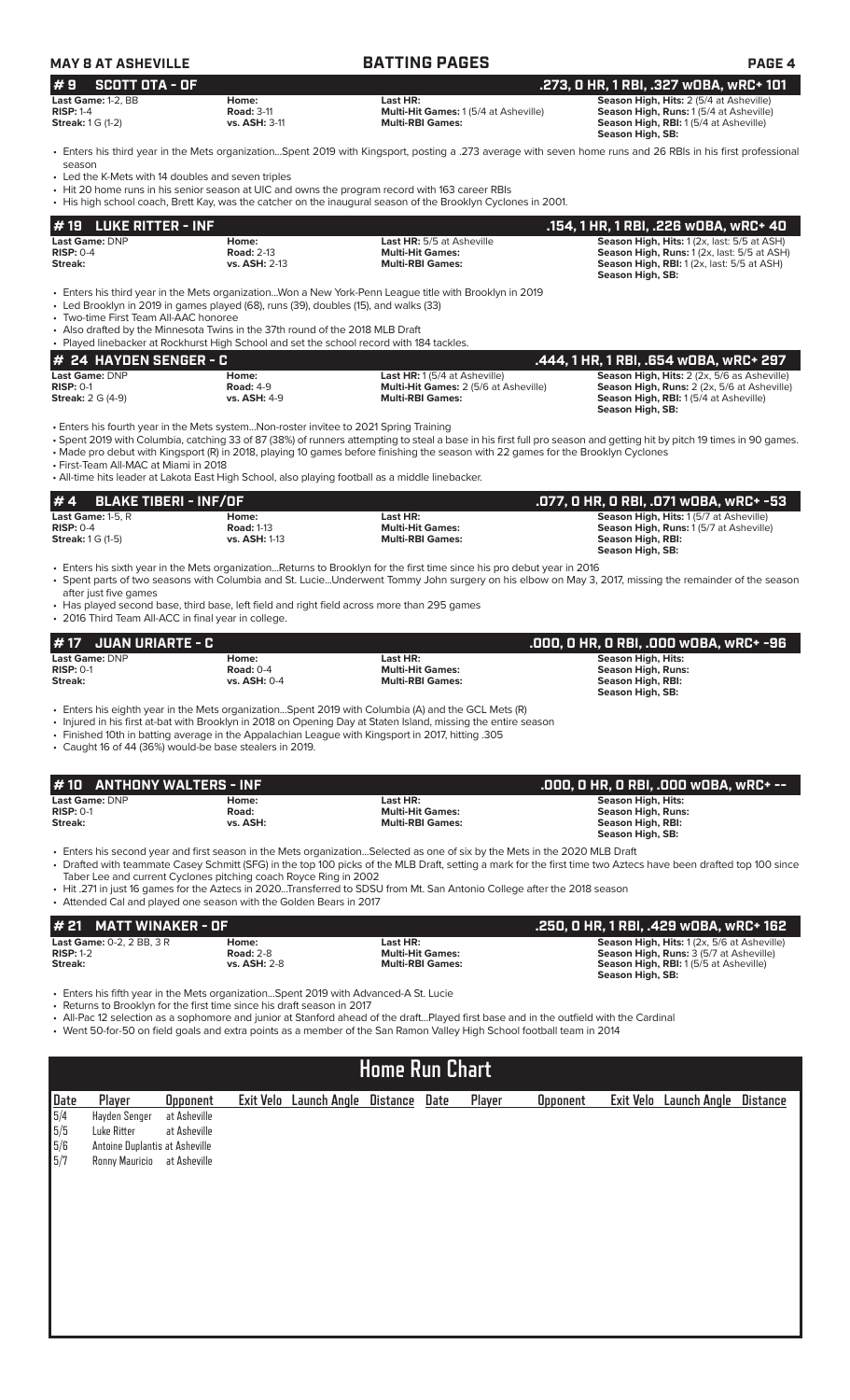| #9<br><b>SCOTT OTA - OF</b>                                                  | <b>MAY 8 AT ASHEVILLE</b>                                                                                                                                                                 | <b>BATTING PAGES</b>                                                                                                                                                                                                                                                                                                                                                                                                      | <b>PAGE 4</b>                                                                                                                                                       |
|------------------------------------------------------------------------------|-------------------------------------------------------------------------------------------------------------------------------------------------------------------------------------------|---------------------------------------------------------------------------------------------------------------------------------------------------------------------------------------------------------------------------------------------------------------------------------------------------------------------------------------------------------------------------------------------------------------------------|---------------------------------------------------------------------------------------------------------------------------------------------------------------------|
|                                                                              |                                                                                                                                                                                           |                                                                                                                                                                                                                                                                                                                                                                                                                           | .273, 0 HR, 1 RBI, .327 wOBA, wRC+ 101                                                                                                                              |
| Last Game: 1-2. BB<br><b>RISP: 1-4</b><br><b>Streak:</b> 1 G (1-2)           | Home:<br><b>Road: 3-11</b><br>vs. ASH: 3-11                                                                                                                                               | Last HR:<br>Multi-Hit Games: 1 (5/4 at Asheville)<br><b>Multi-RBI Games:</b>                                                                                                                                                                                                                                                                                                                                              | Season High, Hits: 2 (5/4 at Asheville)<br>Season High, Runs: 1 (5/4 at Asheville)<br>Season High, RBI: 1 (5/4 at Asheville)<br>Season High, SB:                    |
|                                                                              |                                                                                                                                                                                           | • Enters his third year in the Mets organizationSpent 2019 with Kingsport, posting a .273 average with seven home runs and 26 RBIs in his first professional                                                                                                                                                                                                                                                              |                                                                                                                                                                     |
| season<br>• Led the K-Mets with 14 doubles and seven triples                 |                                                                                                                                                                                           | • Hit 20 home runs in his senior season at UIC and owns the program record with 163 career RBIs<br>• His high school coach, Brett Kay, was the catcher on the inaugural season of the Brooklyn Cyclones in 2001.                                                                                                                                                                                                          |                                                                                                                                                                     |
| <b>LUKE RITTER - INF</b><br># 19                                             |                                                                                                                                                                                           |                                                                                                                                                                                                                                                                                                                                                                                                                           | .154, 1 HR, 1 RBI, .226 WOBA, WRC+ 40                                                                                                                               |
| Last Game: DNP<br><b>RISP: 0-4</b><br>Streak:                                | Home:<br><b>Road: 2-13</b><br>vs. ASH: 2-13                                                                                                                                               | Last HR: 5/5 at Asheville<br><b>Multi-Hit Games:</b><br><b>Multi-RBI Games:</b>                                                                                                                                                                                                                                                                                                                                           | Season High, Hits: 1 (2x, last: 5/5 at ASH)<br>Season High, Runs: 1 (2x, last: 5/5 at ASH)<br><b>Season High, RBI:</b> 1 (2x, last: 5/5 at ASH)<br>Season High, SB: |
| • Two-time First Team All-AAC honoree                                        | • Led Brooklyn in 2019 in games played (68), runs (39), doubles (15), and walks (33)<br>• Also drafted by the Minnesota Twins in the 37th round of the 2018 MLB Draft                     | • Enters his third year in the Mets organizationWon a New York-Penn League title with Brooklyn in 2019                                                                                                                                                                                                                                                                                                                    |                                                                                                                                                                     |
|                                                                              | • Played linebacker at Rockhurst High School and set the school record with 184 tackles.                                                                                                  |                                                                                                                                                                                                                                                                                                                                                                                                                           |                                                                                                                                                                     |
| # 24 HAYDEN SENGER - C<br>Last Game: DNP                                     | Home:                                                                                                                                                                                     | Last HR: 1 (5/4 at Asheville)                                                                                                                                                                                                                                                                                                                                                                                             | .444, 1 HR, 1 RBI, .654 WOBA, WRC+ 297<br>Season High, Hits: 2 (2x, 5/6 as Asheville)                                                                               |
| <b>RISP: 0-1</b><br><b>Streak:</b> 2 G (4-9)                                 | <b>Road: 4-9</b><br>vs. ASH: 4-9                                                                                                                                                          | Multi-Hit Games: 2 (5/6 at Asheville)<br><b>Multi-RBI Games:</b>                                                                                                                                                                                                                                                                                                                                                          | Season High, Runs: 2 (2x, 5/6 at Asheville)<br>Season High, RBI: 1(5/4 at Asheville)<br>Season High, SB:                                                            |
| • First-Team All-MAC at Miami in 2018                                        | • Enters his fourth year in the Mets systemNon-roster invitee to 2021 Spring Training<br>• All-time hits leader at Lakota East High School, also playing football as a middle linebacker. | · Spent 2019 with Columbia, catching 33 of 87 (38%) of runners attempting to steal a base in his first full pro season and getting hit by pitch 19 times in 90 games.<br>• Made pro debut with Kingsport (R) in 2018, playing 10 games before finishing the season with 22 games for the Brooklyn Cyclones                                                                                                                |                                                                                                                                                                     |
| <b>BLAKE TIBERI - INF/OF</b><br># 4                                          |                                                                                                                                                                                           |                                                                                                                                                                                                                                                                                                                                                                                                                           | .077, O HR, O RBI, .071 wOBA, wRC+ -53                                                                                                                              |
| Last Game: 1-5, R<br><b>RISP: 0-4</b><br><b>Streak:</b> 1 G (1-5)            | Home:<br><b>Road: 1-13</b><br><b>vs. ASH: 1-13</b>                                                                                                                                        | Last HR:<br><b>Multi-Hit Games:</b><br><b>Multi-RBI Games:</b>                                                                                                                                                                                                                                                                                                                                                            | Season High, Hits: 1 (5/7 at Asheville)<br>Season High, Runs: 1(5/7 at Asheville)<br><b>Season High, RBI:</b><br>Season High, SB:                                   |
| after just five games<br>• 2016 Third Team All-ACC in final year in college. | • Has played second base, third base, left field and right field across more than 295 games                                                                                               | • Enters his sixth year in the Mets organizationReturns to Brooklyn for the first time since his pro debut year in 2016<br>· Spent parts of two seasons with Columbia and St. LucieUnderwent Tommy John surgery on his elbow on May 3, 2017, missing the remainder of the season                                                                                                                                          |                                                                                                                                                                     |
| <b>JUAN URIARTE - C</b>                                                      |                                                                                                                                                                                           |                                                                                                                                                                                                                                                                                                                                                                                                                           | .000, 0 HR, 0 RBI, .000 w0BA, wRC+ -96                                                                                                                              |
| <b>Last Game: DNP</b><br>$RISP: 0-1$                                         | Home:<br><b>Road: 0-4</b>                                                                                                                                                                 | Last HR:<br><b>Multi-Hit Games:</b>                                                                                                                                                                                                                                                                                                                                                                                       | <b>Season High, Hits:</b><br><b>Season High, Runs:</b>                                                                                                              |
| Streak:                                                                      | vs. ASH: 0-4                                                                                                                                                                              | <b>Multi-RBI Games:</b>                                                                                                                                                                                                                                                                                                                                                                                                   | Season High, RBI:<br>Season High, SB:                                                                                                                               |
|                                                                              |                                                                                                                                                                                           | Enters his eighth year in the Mets organizationSpent 2019 with Columbia (A) and the GCL Mets (R)<br>• Injured in his first at-bat with Brooklyn in 2018 on Opening Day at Staten Island, missing the entire season<br>• Finished 10th in batting average in the Appalachian League with Kingsport in 2017, hitting 305                                                                                                    |                                                                                                                                                                     |
|                                                                              | • Caught 16 of 44 (36%) would-be base stealers in 2019.                                                                                                                                   |                                                                                                                                                                                                                                                                                                                                                                                                                           |                                                                                                                                                                     |
| 10                                                                           |                                                                                                                                                                                           |                                                                                                                                                                                                                                                                                                                                                                                                                           |                                                                                                                                                                     |
| <b>ANTHONY WALTERS - INF</b><br>Last Game: DNP                               | Home:                                                                                                                                                                                     | Last HR:                                                                                                                                                                                                                                                                                                                                                                                                                  | .000, 0 HR, 0 RBI, .000 w0BA, wRC+ --<br><b>Season High, Hits:</b>                                                                                                  |
| <b>RISP: 0-1</b><br>Streak:                                                  | Road:<br>vs. ASH:                                                                                                                                                                         | <b>Multi-Hit Games:</b><br><b>Multi-RBI Games:</b>                                                                                                                                                                                                                                                                                                                                                                        | <b>Season High, Runs:</b><br>Season High, RBI:<br>Season High, SB:                                                                                                  |
|                                                                              | Taber Lee and current Cyclones pitching coach Royce Ring in 2002<br>• Attended Cal and played one season with the Golden Bears in 2017                                                    | • Enters his second year and first season in the Mets organizationSelected as one of six by the Mets in the 2020 MLB Draft<br>• Drafted with teammate Casey Schmitt (SFG) in the top 100 picks of the MLB Draft, setting a mark for the first time two Aztecs have been drafted top 100 since<br>• Hit .271 in just 16 games for the Aztecs in 2020Transferred to SDSU from Mt. San Antonio College after the 2018 season |                                                                                                                                                                     |
| <b>MATT WINAKER - OF</b>                                                     |                                                                                                                                                                                           |                                                                                                                                                                                                                                                                                                                                                                                                                           | .250, 0 HR, 1 RBI, .429 wOBA, wRC+ 162                                                                                                                              |
| Last Game: 0-2, 2 BB, 3 R<br><b>RISP: 1-2</b><br><b>Streak:</b>              | Home:<br><b>Road: 2-8</b><br>vs. ASH: 2-8                                                                                                                                                 | Last HR:<br><b>Multi-Hit Games:</b><br><b>Multi-RBI Games:</b>                                                                                                                                                                                                                                                                                                                                                            | Season High, Hits: 1 (2x, 5/6 at Asheville)<br>Season High, Runs: 3 (5/7 at Asheville)<br>Season High, RBI: 1 (5/5 at Asheville)<br>Season High, SB:                |

| <b>Date</b><br>5/4<br>5/5<br>5/6<br>5/7 | Player                         | <b>Opponent</b> | Exit Velo Launch Angle | Distance | Date | Player | <b>Opponent</b> | Exit Velo Launch Angle | Distance |
|-----------------------------------------|--------------------------------|-----------------|------------------------|----------|------|--------|-----------------|------------------------|----------|
|                                         | Hayden Senger                  | at Asheville    |                        |          |      |        |                 |                        |          |
|                                         | Luke Ritter                    | at Asheville    |                        |          |      |        |                 |                        |          |
|                                         | Antoine Duplantis at Asheville |                 |                        |          |      |        |                 |                        |          |
|                                         | Ronny Mauricio at Asheville    |                 |                        |          |      |        |                 |                        |          |
|                                         |                                |                 |                        |          |      |        |                 |                        |          |
|                                         |                                |                 |                        |          |      |        |                 |                        |          |
|                                         |                                |                 |                        |          |      |        |                 |                        |          |
|                                         |                                |                 |                        |          |      |        |                 |                        |          |
|                                         |                                |                 |                        |          |      |        |                 |                        |          |
|                                         |                                |                 |                        |          |      |        |                 |                        |          |
|                                         |                                |                 |                        |          |      |        |                 |                        |          |
|                                         |                                |                 |                        |          |      |        |                 |                        |          |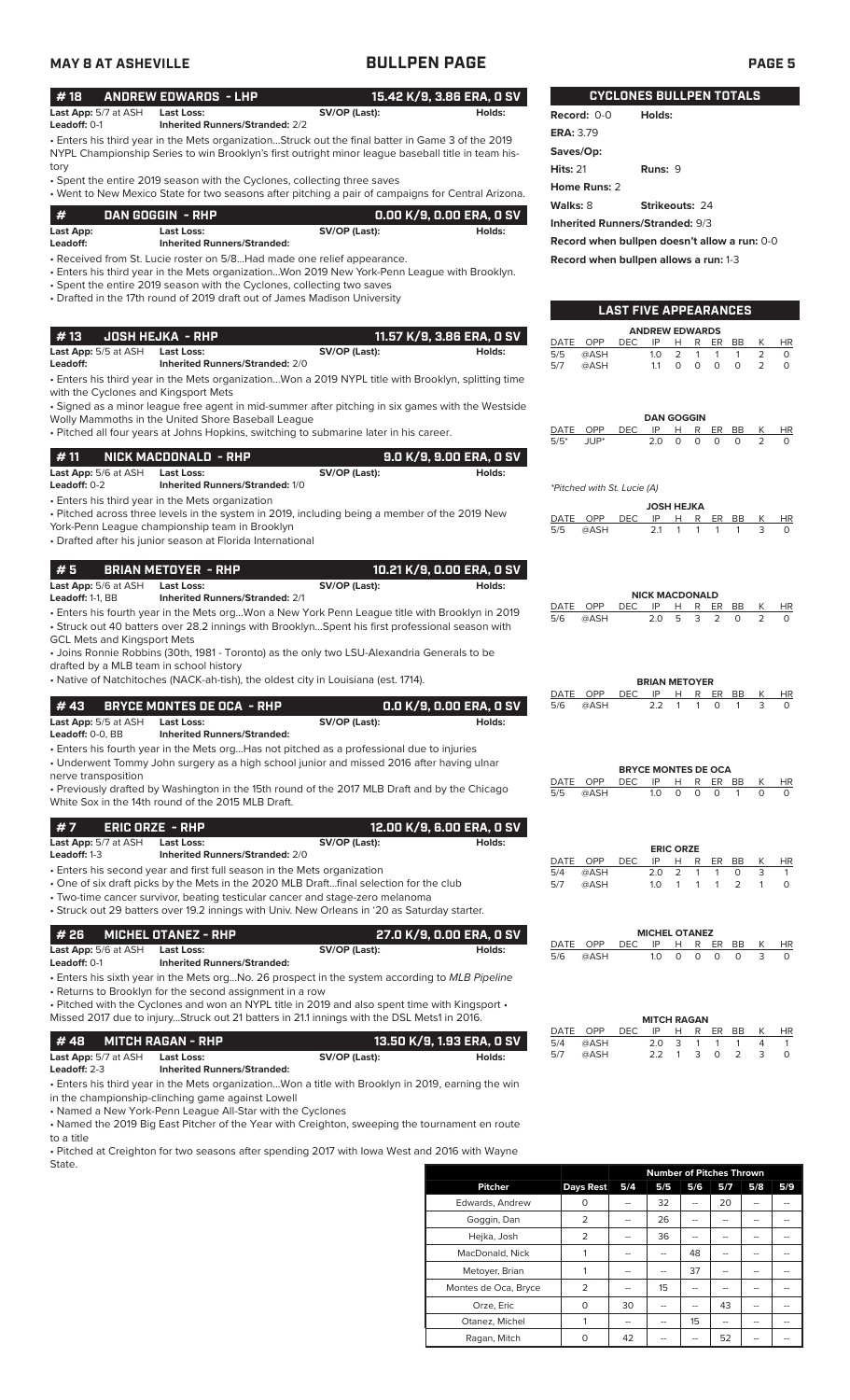# **MAY 8 AT ASHEVILLE BULLPEN PAGE PAGE 5**

| #18 ANDREW EDWARDS - LHP                      |  |               | 15.42 K/9, 3.86 ERA, 0 SV |  |  |
|-----------------------------------------------|--|---------------|---------------------------|--|--|
| <b>Last App:</b> 5/7 at ASH <b>Last Loss:</b> |  | SV/OP (Last): | Holds:                    |  |  |

• Enters his third year in the Mets organization...Struck out the final batter in Game 3 of the 2019 NYPL Championship Series to win Brooklyn's first outright minor league baseball title in team history **Leadoff:** 0-1 **Inherited Runners/Stranded:** 2/2

• Spent the entire 2019 season with the Cyclones, collecting three saves

| • Went to New Mexico State for two seasons after pitching a pair of campaigns for Central Arizona. |  |  |  |
|----------------------------------------------------------------------------------------------------|--|--|--|
|                                                                                                    |  |  |  |

| -#        | DAN GOGGIN - RHP                   |               | 0.00 K/9. 0.00 ERA. 0 SV. |
|-----------|------------------------------------|---------------|---------------------------|
| Last App: | Last Loss:                         | SV/OP (Last): | Holds:                    |
| Leadoff:  | <b>Inherited Runners/Stranded:</b> |               |                           |
|           |                                    |               |                           |

• Received from St. Lucie roster on 5/8...Had made one relief appearance.

• Enters his third year in the Mets organization...Won 2019 New York-Penn League with Brooklyn. • Spent the entire 2019 season with the Cyclones, collecting two saves

• Drafted in the 17th round of 2019 draft out of James Madison University

| l #13                       | .  JOSH HEJKA - RHP '                  |               | 11.57 K/9, 3.86 ERA, 0 SV |
|-----------------------------|----------------------------------------|---------------|---------------------------|
| <b>Last App:</b> 5/5 at ASH | Last Loss:                             | SV/OP (Last): | Holds:                    |
| Leadoff:                    | <b>Inherited Runners/Stranded: 2/0</b> |               |                           |

• Enters his third year in the Mets organization...Won a 2019 NYPL title with Brooklyn, splitting time with the Cyclones and Kingsport Mets

• Signed as a minor league free agent in mid-summer after pitching in six games with the Westside Wolly Mammoths in the United Shore Baseball League

• Pitched all four years at Johns Hopkins, switching to submarine later in his career.

| l#11                        | : NICK MACDONALD  - RHP '              |               | 9.0 K/9. 9.00 ERA. 0 SV |
|-----------------------------|----------------------------------------|---------------|-------------------------|
| <b>Last App:</b> 5/6 at ASH | Last Loss:                             | SV/OP (Last): | Holds:                  |
| Leadoff: $0-2$              | <b>Inherited Runners/Stranded: 1/0</b> |               |                         |
|                             |                                        |               |                         |

• Enters his third year in the Mets organization

• Pitched across three levels in the system in 2019, including being a member of the 2019 New York-Penn League championship team in Brooklyn

• Drafted after his junior season at Florida International

### **# 5 BRIAN METOYER - RHP 10.21 K/9, 0.00 ERA, 0 SV**

**Last App:** 5/6 at ASH **Last Loss: SV/OP (Last): SV/OP (Last): Holds:** All **Holds:**  $\frac{1}{2}$ 

• Enters his fourth year in the Mets org...Won a New York Penn League title with Brooklyn in 2019 • Struck out 40 batters over 28.2 innings with Brooklyn...Spent his first professional season with **Inherited Runners/Stranded:** 2/1

GCL Mets and Kingsport Mets • Joins Ronnie Robbins (30th, 1981 - Toronto) as the only two LSU-Alexandria Generals to be

drafted by a MLB team in school history

• Native of Natchitoches (NACK-ah-tish), the oldest city in Louisiana (est. 1714).

|                                                 | # 43 BRYCE MONTES DE OCA - RHP                        | 0.0 K/9, 0.00 ERA, 0 SV |        |  |
|-------------------------------------------------|-------------------------------------------------------|-------------------------|--------|--|
| <b>Last App:</b> 5/5 at ASH                     | Last Loss:                                            | SV/OP (Last):           | Holds: |  |
| $1 - 1 - H$ $\wedge$ $\wedge$ $\wedge$ $\wedge$ | the books of the company of the company of the state. |                         |        |  |

| <b>Leadoff:</b> 0-0. BB |  | <b>Inherited Runners/Stranded:</b> |  |  |  |  |  |  |
|-------------------------|--|------------------------------------|--|--|--|--|--|--|
|                         |  |                                    |  |  |  |  |  |  |

• Enters his fourth year in the Mets org...Has not pitched as a professional due to injuries • Underwent Tommy John surgery as a high school junior and missed 2016 after having ulnar nerve transposition

• Previously drafted by Washington in the 15th round of the 2017 MLB Draft and by the Chicago White Sox in the 14th round of the 2015 MLB Draft.

| #7                          | ERIC ORZE - RHP   | 12.00 K/9, 6.00 ERA, 0 SV                                                              |        |
|-----------------------------|-------------------|----------------------------------------------------------------------------------------|--------|
| <b>Last App:</b> 5/7 at ASH | <b>Last Loss:</b> | SV/OP (Last):                                                                          | Holds: |
| <b>Leadoff:</b> 1-3         |                   | <b>Inherited Runners/Stranded: 2/0</b>                                                 |        |
|                             |                   | • Enters his second year and first full season in the Mets organization                |        |
|                             |                   | . One of six draft picks by the Mets in the 2020 MLB Draftfinal selection for the club |        |

• Two-time cancer survivor, beating testicular cancer and stage-zero melanoma

• Struck out 29 batters over 19.2 innings with Univ. New Orleans in '20 as Saturday starter.

|                             | $#$ 26 $-MICHEL$ OTANEZ - RHP |               | ; 27.0 K/9, 0.00 ERA, 0 SV ' |
|-----------------------------|-------------------------------|---------------|------------------------------|
| <b>Last App:</b> 5/6 at ASH | Last Loss:                    | SV/OP (Last): | Holds:                       |

**Leadoff:** 0-1 **Inherited Runners/Stranded:**

• Enters his sixth year in the Mets org...No. 26 prospect in the system according to *MLB Pipeline* • Returns to Brooklyn for the second assignment in a row

• Pitched with the Cyclones and won an NYPL title in 2019 and also spent time with Kingsport •

Missed 2017 due to injury...Struck out 21 batters in 21.1 innings with the DSL Mets1 in 2016.

|                             | #48 MITCH RAGAN - RHP              |               | 13.50 K/9, 1.93 ERA, 0 SV |
|-----------------------------|------------------------------------|---------------|---------------------------|
| <b>Last App:</b> 5/7 at ASH | Last Loss:                         | SV/OP (Last): | Holds:                    |
| <b>Leadoff: 2-3</b>         | <b>Inherited Runners/Stranded:</b> |               |                           |

• Enters his third year in the Mets organization...Won a title with Brooklyn in 2019, earning the win

in the championship-clinching game against Lowell

• Named a New York-Penn League All-Star with the Cyclones

• Named the 2019 Big East Pitcher of the Year with Creighton, sweeping the tournament en route to a title

• Pitched at Creighton for two seasons after spending 2017 with Iowa West and 2016 with Wayne State.

|                      |                  | <b>Number of Pitches Thrown</b> |                          |     |     |     |     |  |
|----------------------|------------------|---------------------------------|--------------------------|-----|-----|-----|-----|--|
| <b>Pitcher</b>       | <b>Days Rest</b> | 5/4                             | 5/5                      | 5/6 | 5/7 | 5/8 | 5/9 |  |
| Edwards, Andrew      | O                |                                 | 32                       | --  | 20  | --  |     |  |
| Goggin, Dan          | 2                | --                              | 26                       |     |     |     |     |  |
| Hejka, Josh          | 2                | --                              | 36                       | --  |     |     |     |  |
| MacDonald, Nick      |                  | --                              | $\overline{\phantom{a}}$ | 48  |     |     |     |  |
| Metoyer, Brian       |                  | --                              | --                       | 37  |     |     |     |  |
| Montes de Oca, Bryce | 2                | $-$                             | 15                       | --  |     | --  |     |  |
| Orze, Eric           | $\Omega$         | 30                              | --                       |     | 43  |     |     |  |
| Otanez, Michel       |                  | $-$                             | --                       | 15  | --  | --  |     |  |
| Ragan, Mitch         | O                | 42                              |                          |     | 52  |     |     |  |

**CYCLONES BULLPEN TOTALS**

| Record: 0-0                            | Holds:         |  |  |  |  |  |
|----------------------------------------|----------------|--|--|--|--|--|
| <b>ERA: 3.79</b>                       |                |  |  |  |  |  |
| Saves/Op:                              |                |  |  |  |  |  |
| Hits: $21$                             | Runs: $9$      |  |  |  |  |  |
| Home Runs: 2                           |                |  |  |  |  |  |
| Walks: 8                               | Strikeouts: 24 |  |  |  |  |  |
| <b>Inherited Runners/Stranded: 9/3</b> |                |  |  |  |  |  |
|                                        |                |  |  |  |  |  |

**Record when bullpen doesn't allow a run:** 0-0

**LAST FIVE APPEARANCES**

**Record when bullpen allows a run:** 1-3

|                       | LASI<br><b>FIVE APPEARANGES</b> |            |                   |          |          |     |    |                |          |  |  |
|-----------------------|---------------------------------|------------|-------------------|----------|----------|-----|----|----------------|----------|--|--|
| <b>ANDREW EDWARDS</b> |                                 |            |                   |          |          |     |    |                |          |  |  |
| DATE                  | <b>OPP</b>                      | <b>DEC</b> | IP                | н        | R        | ER. | BB | K              | HR       |  |  |
| 5/5                   | @ASH                            |            | 1.0               | 2        | 1        | 1   | 1  | 2              | 0        |  |  |
| 5/7                   | @ASH                            |            | 1.1               | $\Omega$ | O        | O   | O  | $\overline{2}$ | $\Omega$ |  |  |
|                       |                                 |            |                   |          |          |     |    |                |          |  |  |
|                       |                                 |            |                   |          |          |     |    |                |          |  |  |
|                       |                                 |            |                   |          |          |     |    |                |          |  |  |
|                       |                                 |            | <b>DAN GOGGIN</b> |          |          |     |    |                |          |  |  |
| DATE                  | OPP                             | DEC        | IP                | н        | R        | ER  | BB | Κ              | ΗR       |  |  |
| $5/5*$                | JUP*                            |            | 2.0               | $\Omega$ | $\Omega$ | O   | O  | $\overline{2}$ | O        |  |  |
|                       |                                 |            |                   |          |          |     |    |                |          |  |  |
|                       |                                 |            |                   |          |          |     |    |                |          |  |  |
|                       | *Pitched with St. Lucie (A)     |            |                   |          |          |     |    |                |          |  |  |
|                       |                                 |            |                   |          |          |     |    |                |          |  |  |
|                       |                                 |            | <b>JOSH HEJKA</b> |          |          |     |    |                |          |  |  |
| DATE                  | OPP                             | DEC        | IP                | н        | R        | ER  | ВB | K              | HR       |  |  |
| 5/5                   | @ASH                            |            | 2.1               | 1        | 1        | 1   | 1  | 3              | O        |  |  |
|                       |                                 |            |                   |          |          |     |    |                |          |  |  |
|                       |                                 |            |                   |          |          |     |    |                |          |  |  |
|                       |                                 |            |                   |          |          |     |    |                |          |  |  |

**NICK MACDONALD**<br>DEC IP H R EI DATE OPP DEC IP H R ER BB K HR<br>5/6 @ASH 20 5 3 2 0 2 0  $5/6$  @ASH 20 5 3 2 0 2

| <b>PNANIER LUIL</b> |                                |                |  |  |  |  |  |  |  |
|---------------------|--------------------------------|----------------|--|--|--|--|--|--|--|
|                     | DATE OPP DEC IP H R ER BB K HR |                |  |  |  |  |  |  |  |
|                     | 5/6 @ASH                       | 22 1 1 0 1 3 0 |  |  |  |  |  |  |  |

|                             | <b>BRYCE MONTES DE OCA</b> |  |  |            |     |           |
|-----------------------------|----------------------------|--|--|------------|-----|-----------|
| DATE OPP DEC IP H R ER BB K |                            |  |  |            |     | <b>HR</b> |
| 5/5 @ASH                    |                            |  |  | 10 0 0 0 1 | - 0 |           |

| <b>ERIC ORZE</b> |      |      |            |  |  |            |              |   |     |
|------------------|------|------|------------|--|--|------------|--------------|---|-----|
| DATE OPP         |      | DEC. |            |  |  |            | IP H R ER BB | К | HR. |
| 5/4              | @ASH |      | 20 2 1 1 0 |  |  |            |              | 3 |     |
| 5/7              | @ASH |      |            |  |  | 10 1 1 1 2 |              |   |     |

|                           | <b>MICHEL OTANEZ</b> |  |  |              |   |
|---------------------------|----------------------|--|--|--------------|---|
| DATE OPP DECIPH RERBBK HR |                      |  |  |              |   |
| 5/6 @ASH                  |                      |  |  | 10 0 0 0 0 3 | 0 |

|     |                           | <b>MITCH RAGAN</b> |  |         |              |    |
|-----|---------------------------|--------------------|--|---------|--------------|----|
|     | DATE OPP DEC IP H R ER BB |                    |  |         | K            | HR |
| 5/4 | @ASH                      | 20 3 1 1 1         |  |         | $\Delta$     |    |
| 5/7 | @ASH                      | 2.2                |  | 1 3 0 2 | $\mathbf{B}$ |    |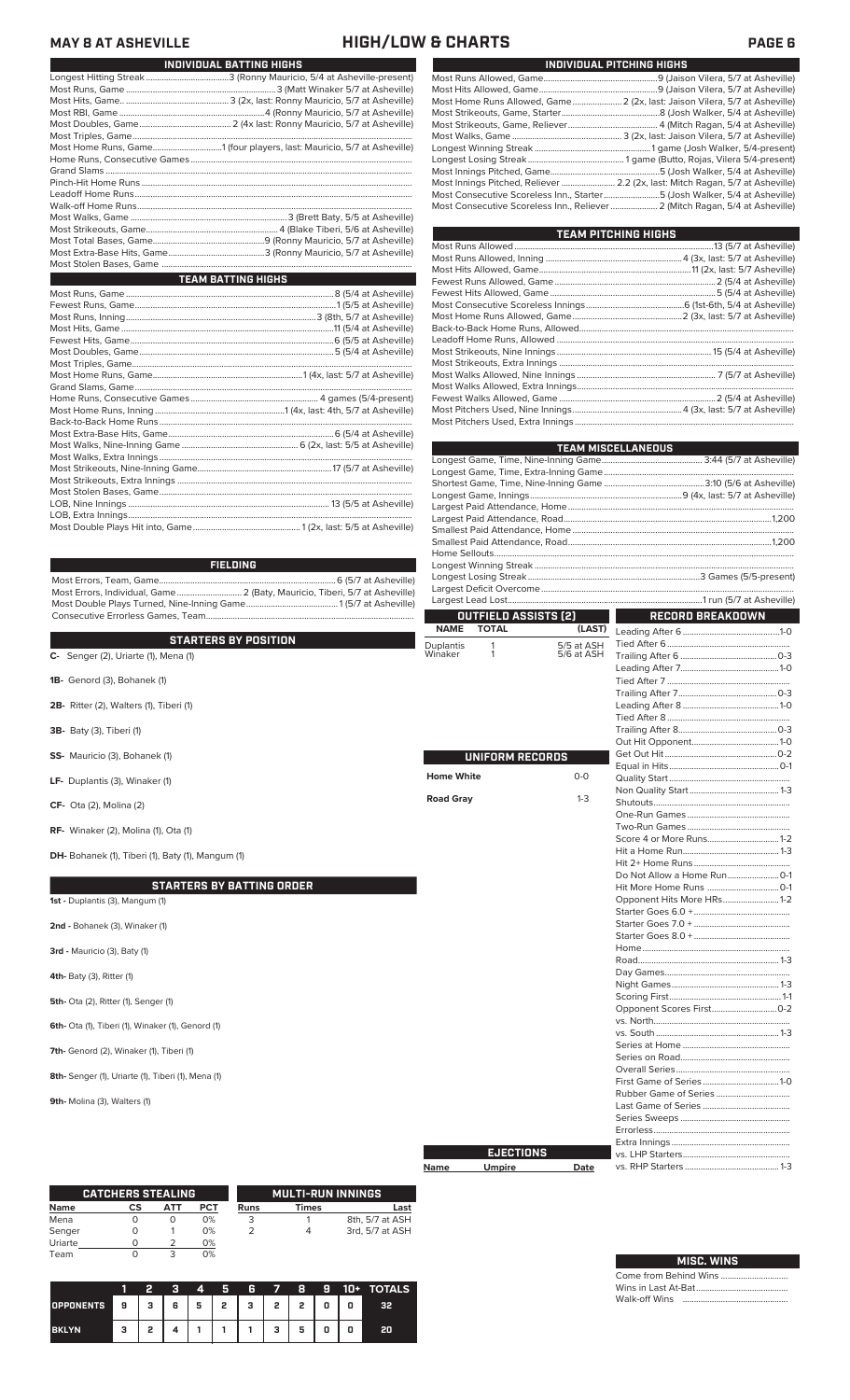### **MAY 8 AT ASHEVILLE HIGH/LOW & CHARTS PAGE 6**

| INDIVIDUAL BATTING HIGHS                                               |
|------------------------------------------------------------------------|
|                                                                        |
|                                                                        |
|                                                                        |
|                                                                        |
|                                                                        |
|                                                                        |
| Most Home Runs, Game1 (four players, last: Mauricio, 5/7 at Asheville) |
|                                                                        |
|                                                                        |
|                                                                        |
|                                                                        |
|                                                                        |
|                                                                        |
|                                                                        |
|                                                                        |
|                                                                        |
|                                                                        |
| <b>TEAM BATTING HIGHS</b>                                              |
|                                                                        |
|                                                                        |
|                                                                        |
|                                                                        |
|                                                                        |
|                                                                        |
|                                                                        |
|                                                                        |
|                                                                        |
|                                                                        |
|                                                                        |

### **FIELDING**

Most Errors, Team, Game...............................................................................6 (5/7 at Asheville) Most Errors, Individual, Game............................. 2 (Baty, Mauricio, Tiberi, 5/7 at Asheville) Most Double Plays Turned, Nine-Inning Game.........................................1 (5/7 at Asheville) Consecutive Errorless Games, Team.............................................................................................

|                                                    |                   | OUTFIELD ASSISTS [2] |            | <b>RECORD BREAKDOWN</b>   |  |
|----------------------------------------------------|-------------------|----------------------|------------|---------------------------|--|
|                                                    | <b>NAME</b>       | <b>TOTAL</b>         | (LAST)     |                           |  |
| <b>STARTERS BY POSITION</b>                        | Duplantis         |                      | 5/5 at ASH |                           |  |
| C- Senger (2), Uriarte (1), Mena (1)               | Winaker           | $\mathbf{1}$         | 5/6 at ASH |                           |  |
|                                                    |                   |                      |            |                           |  |
| 1B- Genord (3), Bohanek (1)                        |                   |                      |            |                           |  |
|                                                    |                   |                      |            |                           |  |
| 2B- Ritter (2), Walters (1), Tiberi (1)            |                   |                      |            |                           |  |
|                                                    |                   |                      |            |                           |  |
| 3B- Baty (3), Tiberi (1)                           |                   |                      |            |                           |  |
|                                                    |                   |                      |            |                           |  |
| SS- Mauricio (3), Bohanek (1)                      |                   | UNIFORM RECORDS      |            |                           |  |
|                                                    |                   |                      |            |                           |  |
| LF- Duplantis (3), Winaker (1)                     | <b>Home White</b> |                      | $0-0$      |                           |  |
|                                                    |                   |                      |            |                           |  |
| CF- Ota (2), Molina (2)                            | <b>Road Gray</b>  |                      | $1 - 3$    |                           |  |
|                                                    |                   |                      |            |                           |  |
| RF- Winaker (2), Molina (1), Ota (1)               |                   |                      |            |                           |  |
|                                                    |                   |                      |            |                           |  |
| DH- Bohanek (1), Tiberi (1), Baty (1), Mangum (1)  |                   |                      |            |                           |  |
|                                                    |                   |                      |            |                           |  |
|                                                    |                   |                      |            |                           |  |
| <b>STARTERS BY BATTING ORDER</b>                   |                   |                      |            |                           |  |
| 1st - Duplantis (3), Mangum (1)                    |                   |                      |            | Opponent Hits More HRs1-2 |  |
|                                                    |                   |                      |            |                           |  |
| 2nd - Bohanek (3), Winaker (1)                     |                   |                      |            |                           |  |
|                                                    |                   |                      |            |                           |  |
| 3rd - Mauricio (3), Baty (1)                       |                   |                      |            |                           |  |
|                                                    |                   |                      |            |                           |  |
| 4th- Baty (3), Ritter (1)                          |                   |                      |            |                           |  |
|                                                    |                   |                      |            |                           |  |
| 5th- Ota (2), Ritter (1), Senger (1)               |                   |                      |            |                           |  |
|                                                    |                   |                      |            |                           |  |
| 6th- Ota (1), Tiberi (1), Winaker (1), Genord (1)  |                   |                      |            |                           |  |
|                                                    |                   |                      |            |                           |  |
| 7th- Genord (2), Winaker (1), Tiberi (1)           |                   |                      |            |                           |  |
|                                                    |                   |                      |            |                           |  |
| 8th- Senger (1), Uriarte (1), Tiberi (1), Mena (1) |                   |                      |            |                           |  |
|                                                    |                   |                      |            |                           |  |
| <b>9th-</b> Molina (3), Walters (1)                |                   |                      |            |                           |  |
|                                                    |                   |                      |            |                           |  |
|                                                    |                   |                      |            | Series Sweens             |  |

**Name Umpire Date EJECTIONS**

**Tara** 

|        |     |     |                          | <b>MULTI-RUN INNINGS</b> |                 |  |  |  |  |
|--------|-----|-----|--------------------------|--------------------------|-----------------|--|--|--|--|
|        | ATT | PCT | Runs                     | Times                    | Last            |  |  |  |  |
|        |     | 0%  | 3                        |                          | 8th, 5/7 at ASH |  |  |  |  |
|        |     | 0%  |                          | 4                        | 3rd, 5/7 at ASH |  |  |  |  |
|        |     | 0%  |                          |                          |                 |  |  |  |  |
|        |     | 0%  |                          |                          |                 |  |  |  |  |
| Senger | СS  |     | <b>CATCHERS STEALING</b> |                          |                 |  |  |  |  |

|                  |    | 2 | я | 4 | Я              | G.          | - 7          | -8 | Ð | $10+$ | <b>TOTALS</b> |
|------------------|----|---|---|---|----------------|-------------|--------------|----|---|-------|---------------|
| <b>OPPONENTS</b> | 49 | з | 6 | 5 | 2 <sub>1</sub> | $3^{\circ}$ | $\mathbf{2}$ | 2  | 0 | 0     | 32            |
| <b>BKLYN</b>     | з  | 2 |   |   |                |             | з            | 5  | 0 |       | 20            |

| INDIVIDUAL PITCHING HIGHS                                                     |
|-------------------------------------------------------------------------------|
|                                                                               |
|                                                                               |
| Most Home Runs Allowed, Game 2 (2x, last: Jaison Vilera, 5/7 at Asheville)    |
|                                                                               |
|                                                                               |
|                                                                               |
|                                                                               |
|                                                                               |
|                                                                               |
| Most Innings Pitched, Reliever  2.2 (2x, last: Mitch Ragan, 5/7 at Asheville) |
| Most Consecutive Scoreless Inn., Starter5 (Josh Walker, 5/4 at Asheville)     |
| Most Consecutive Scoreless Inn., Reliever  2 (Mitch Ragan, 5/4 at Asheville)  |

| TEAM PITCHING HIGHS |  |
|---------------------|--|
|                     |  |
|                     |  |
|                     |  |
|                     |  |
|                     |  |
|                     |  |
|                     |  |
|                     |  |
|                     |  |
|                     |  |
|                     |  |
|                     |  |
|                     |  |
|                     |  |
|                     |  |
|                     |  |

|                      | <b>TEAM MISCELLANEOUS</b> |
|----------------------|---------------------------|
|                      |                           |
|                      |                           |
|                      |                           |
|                      |                           |
|                      |                           |
|                      |                           |
|                      |                           |
|                      |                           |
|                      |                           |
|                      |                           |
|                      |                           |
|                      |                           |
|                      |                           |
| OUTFUELD ACOUSTO (S) | <b>BEBORD BREAKBOULL</b>  |

| Opponent Hits More HRs1-2 |
|---------------------------|
|                           |
|                           |
|                           |
|                           |
|                           |
|                           |
|                           |
|                           |
|                           |
|                           |
|                           |
|                           |
|                           |
|                           |
|                           |
|                           |
|                           |
|                           |
|                           |
|                           |
|                           |
|                           |
|                           |
|                           |
|                           |
|                           |
|                           |
|                           |
|                           |

| <b>MISC. WINS</b> |  |  |  |  |  |  |  |  |
|-------------------|--|--|--|--|--|--|--|--|
|                   |  |  |  |  |  |  |  |  |
|                   |  |  |  |  |  |  |  |  |
|                   |  |  |  |  |  |  |  |  |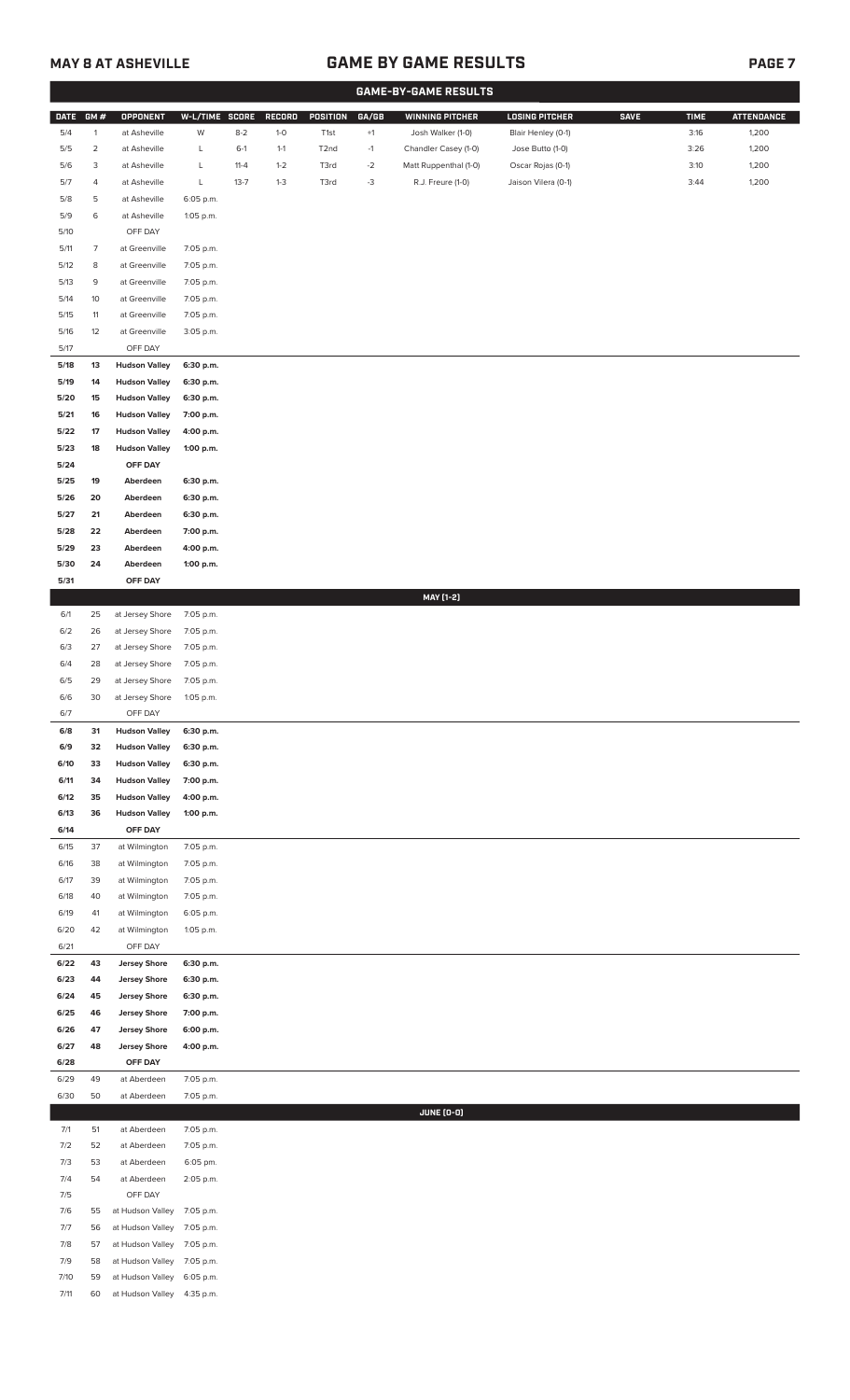## **MAY 8 AT ASHEVILLE GAME BY GAME RESULTS**

|--|

|              |                |                                              |                        |          |         |                   |       | <b>GAME-BY-GAME RESULTS</b> |                       |             |             |                   |
|--------------|----------------|----------------------------------------------|------------------------|----------|---------|-------------------|-------|-----------------------------|-----------------------|-------------|-------------|-------------------|
| <b>DATE</b>  | GM#            | OPPONENT                                     | W-L/TIME SCORE         |          | RECORD  | POSITION          | GA/GB | <b>WINNING PITCHER</b>      | <b>LOSING PITCHER</b> | <b>SAVE</b> | <b>TIME</b> | <b>ATTENDANCE</b> |
| 5/4          | $\mathbf{1}$   | at Asheville                                 | W                      | $8 - 2$  | $1-0$   | T <sub>1st</sub>  | $+1$  | Josh Walker (1-0)           | Blair Henley (0-1)    |             | 3:16        | 1,200             |
| 5/5          | $\overline{a}$ | at Asheville                                 | L                      | $6-1$    | $1 - 1$ | T <sub>2</sub> nd | $-1$  | Chandler Casey (1-0)        | Jose Butto (1-0)      |             | 3:26        | 1,200             |
| 5/6          | 3              | at Asheville                                 | L                      | $11 - 4$ | $1 - 2$ | T3rd              | $-2$  | Matt Ruppenthal (1-0)       | Oscar Rojas (0-1)     |             | 3:10        | 1,200             |
| 5/7          | 4              | at Asheville                                 | L                      | $13 - 7$ | $1 - 3$ | T3rd              | $-3$  | R.J. Freure (1-0)           | Jaison Vilera (0-1)   |             | 3:44        | 1,200             |
| 5/8          | 5              | at Asheville                                 | 6:05 p.m.              |          |         |                   |       |                             |                       |             |             |                   |
| 5/9          | 6              | at Asheville                                 | 1:05 p.m.              |          |         |                   |       |                             |                       |             |             |                   |
| $5/10$       |                | OFF DAY                                      |                        |          |         |                   |       |                             |                       |             |             |                   |
| 5/11         | $\overline{7}$ | at Greenville                                | 7:05 p.m.              |          |         |                   |       |                             |                       |             |             |                   |
| 5/12         | 8              | at Greenville                                | 7:05 p.m.              |          |         |                   |       |                             |                       |             |             |                   |
| 5/13         | 9              | at Greenville                                | 7:05 p.m.              |          |         |                   |       |                             |                       |             |             |                   |
| 5/14         | 10             | at Greenville                                | 7:05 p.m.              |          |         |                   |       |                             |                       |             |             |                   |
| 5/15<br>5/16 | 11<br>12       | at Greenville<br>at Greenville               | 7:05 p.m.<br>3:05 p.m. |          |         |                   |       |                             |                       |             |             |                   |
| 5/17         |                | OFF DAY                                      |                        |          |         |                   |       |                             |                       |             |             |                   |
| 5/18         | 13             | <b>Hudson Valley</b>                         | 6:30 p.m.              |          |         |                   |       |                             |                       |             |             |                   |
| 5/19         | 14             | <b>Hudson Valley</b>                         | 6:30 p.m.              |          |         |                   |       |                             |                       |             |             |                   |
| 5/20         | 15             | <b>Hudson Valley</b>                         | 6:30 p.m.              |          |         |                   |       |                             |                       |             |             |                   |
| 5/21         | 16             | <b>Hudson Valley</b>                         | 7:00 p.m.              |          |         |                   |       |                             |                       |             |             |                   |
| 5/22         | 17             | <b>Hudson Valley</b>                         | 4:00 p.m.              |          |         |                   |       |                             |                       |             |             |                   |
| 5/23         | 18             | <b>Hudson Valley</b>                         | 1:00 p.m.              |          |         |                   |       |                             |                       |             |             |                   |
| 5/24         |                | OFF DAY                                      |                        |          |         |                   |       |                             |                       |             |             |                   |
| 5/25         | 19             | Aberdeen                                     | 6:30 p.m.              |          |         |                   |       |                             |                       |             |             |                   |
| 5/26         | 20             | Aberdeen                                     | 6:30 p.m.              |          |         |                   |       |                             |                       |             |             |                   |
| 5/27         | 21             | Aberdeen                                     | 6:30 p.m.              |          |         |                   |       |                             |                       |             |             |                   |
| 5/28         | 22             | Aberdeen                                     | 7:00 p.m.              |          |         |                   |       |                             |                       |             |             |                   |
| 5/29         | 23             | Aberdeen                                     | 4:00 p.m.              |          |         |                   |       |                             |                       |             |             |                   |
| 5/30         | 24             | Aberdeen                                     | 1:00 p.m.              |          |         |                   |       |                             |                       |             |             |                   |
| 5/31         |                | OFF DAY                                      |                        |          |         |                   |       | MAY [1-2]                   |                       |             |             |                   |
| 6/1          | 25             | at Jersey Shore                              | 7:05 p.m.              |          |         |                   |       |                             |                       |             |             |                   |
| 6/2          | 26             | at Jersey Shore                              | 7:05 p.m.              |          |         |                   |       |                             |                       |             |             |                   |
| 6/3          | 27             | at Jersey Shore                              | 7:05 p.m.              |          |         |                   |       |                             |                       |             |             |                   |
| 6/4          | 28             | at Jersey Shore                              | 7:05 p.m.              |          |         |                   |       |                             |                       |             |             |                   |
| 6/5          | 29             | at Jersey Shore                              | 7:05 p.m.              |          |         |                   |       |                             |                       |             |             |                   |
| 6/6          | 30             | at Jersey Shore                              | 1:05 p.m.              |          |         |                   |       |                             |                       |             |             |                   |
| 6/7          |                | OFF DAY                                      |                        |          |         |                   |       |                             |                       |             |             |                   |
| $6/8$        | 31             | <b>Hudson Valley</b>                         | 6:30 p.m.              |          |         |                   |       |                             |                       |             |             |                   |
| 6/9          | 32             | <b>Hudson Valley</b>                         | 6:30 p.m.              |          |         |                   |       |                             |                       |             |             |                   |
| 6/10         | 33             | <b>Hudson Valley</b>                         | 6:30 p.m.              |          |         |                   |       |                             |                       |             |             |                   |
| 6/11         | 34             | <b>Hudson Valley</b>                         | 7:00 p.m.              |          |         |                   |       |                             |                       |             |             |                   |
| 6/12<br>6/13 | 35<br>36       | <b>Hudson Valley</b><br><b>Hudson Valley</b> | 4:00 p.m.<br>1:00 p.m. |          |         |                   |       |                             |                       |             |             |                   |
| 6/14         |                | OFF DAY                                      |                        |          |         |                   |       |                             |                       |             |             |                   |
| 6/15         | 37             | at Wilmington                                | 7:05 p.m.              |          |         |                   |       |                             |                       |             |             |                   |
| 6/16         | 38             | at Wilmington                                | 7:05 p.m.              |          |         |                   |       |                             |                       |             |             |                   |
| 6/17         | 39             | at Wilmington                                | 7:05 p.m.              |          |         |                   |       |                             |                       |             |             |                   |
| 6/18         | 40             | at Wilmington                                | 7:05 p.m.              |          |         |                   |       |                             |                       |             |             |                   |
| 6/19         | 41             | at Wilmington                                | 6:05 p.m.              |          |         |                   |       |                             |                       |             |             |                   |
| 6/20         | 42             | at Wilmington                                | 1:05 p.m.              |          |         |                   |       |                             |                       |             |             |                   |
| 6/21         |                | OFF DAY                                      |                        |          |         |                   |       |                             |                       |             |             |                   |
| 6/22         | 43             | <b>Jersey Shore</b>                          | 6:30 p.m.              |          |         |                   |       |                             |                       |             |             |                   |
| 6/23         | 44             | <b>Jersey Shore</b>                          | 6:30 p.m.              |          |         |                   |       |                             |                       |             |             |                   |
| 6/24<br>6/25 | 45<br>46       | <b>Jersey Shore</b><br><b>Jersey Shore</b>   | 6:30 p.m.<br>7:00 p.m. |          |         |                   |       |                             |                       |             |             |                   |
| 6/26         | 47             | <b>Jersey Shore</b>                          | 6:00 p.m.              |          |         |                   |       |                             |                       |             |             |                   |
| 6/27         | 48             | <b>Jersey Shore</b>                          | 4:00 p.m.              |          |         |                   |       |                             |                       |             |             |                   |
| 6/28         |                | OFF DAY                                      |                        |          |         |                   |       |                             |                       |             |             |                   |
| 6/29         | 49             | at Aberdeen                                  | 7:05 p.m.              |          |         |                   |       |                             |                       |             |             |                   |
| 6/30         | 50             | at Aberdeen                                  | 7:05 p.m.              |          |         |                   |       |                             |                       |             |             |                   |
|              |                |                                              |                        |          |         |                   |       | <b>JUNE (0-0)</b>           |                       |             |             |                   |
| 7/1          | 51             | at Aberdeen                                  | 7:05 p.m.              |          |         |                   |       |                             |                       |             |             |                   |
| 7/2          | 52             | at Aberdeen                                  | 7:05 p.m.              |          |         |                   |       |                             |                       |             |             |                   |
| 7/3          | 53             | at Aberdeen                                  | 6:05 pm.               |          |         |                   |       |                             |                       |             |             |                   |
| 7/4<br>7/5   | 54             | at Aberdeen<br>OFF DAY                       | 2:05 p.m.              |          |         |                   |       |                             |                       |             |             |                   |
| 7/6          | 55             | at Hudson Valley                             | 7:05 p.m.              |          |         |                   |       |                             |                       |             |             |                   |
| 7/7          | 56             | at Hudson Valley                             | 7:05 p.m.              |          |         |                   |       |                             |                       |             |             |                   |
| 7/8          | 57             | at Hudson Valley                             | 7:05 p.m.              |          |         |                   |       |                             |                       |             |             |                   |
| 7/9          | 58             | at Hudson Valley                             | 7:05 p.m.              |          |         |                   |       |                             |                       |             |             |                   |
| 7/10         | 59             | at Hudson Valley                             | 6:05 p.m.              |          |         |                   |       |                             |                       |             |             |                   |
| 7/11         | 60             | at Hudson Valley                             | 4:35 p.m.              |          |         |                   |       |                             |                       |             |             |                   |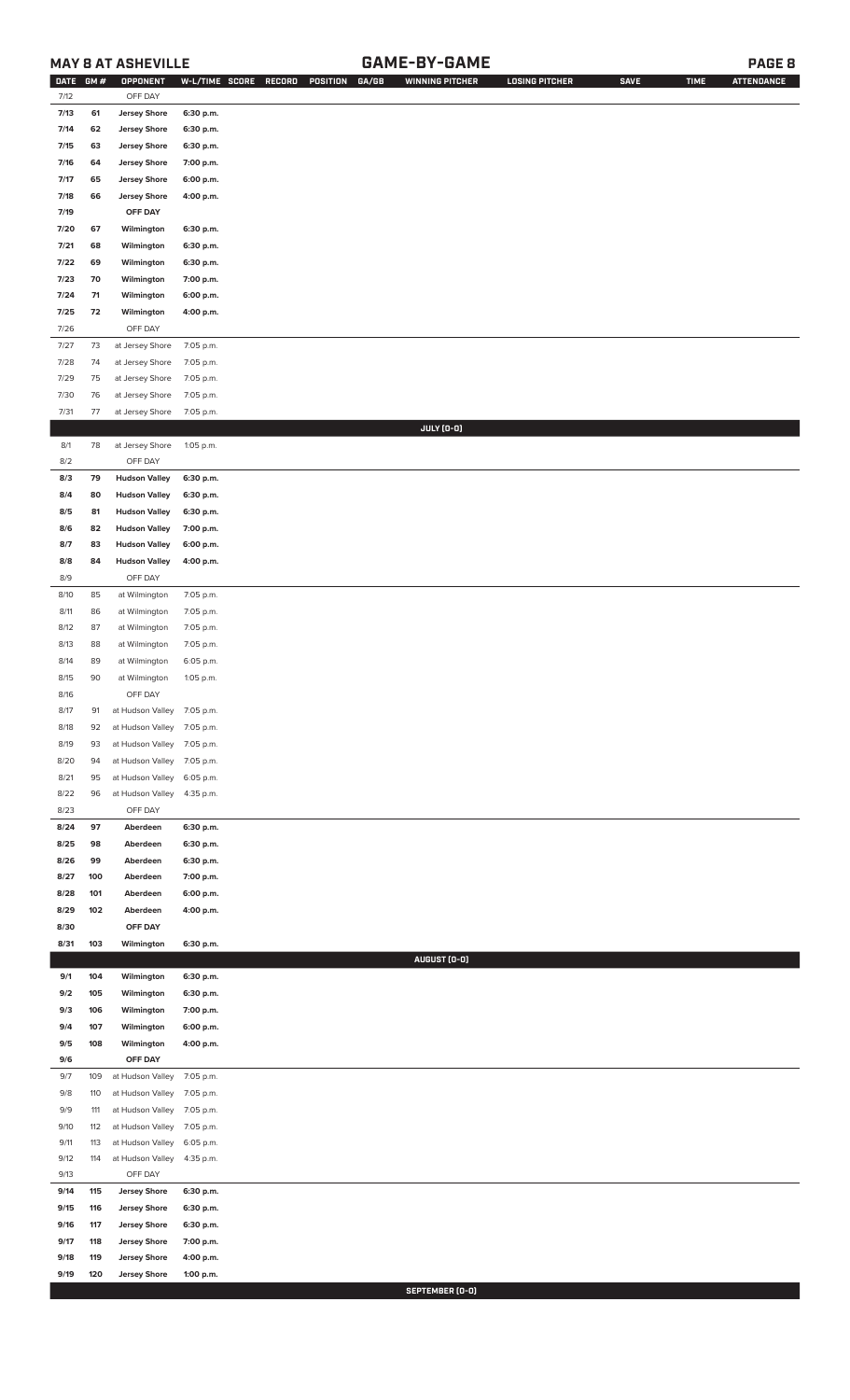### **MAY 8 AT ASHEVILLE GAME-BY-GAME PAGE 8**

| <b>DATE</b> | GM# | OPPONENT                   | W-L/TIME SCORE | GA/GB<br>RECORD<br>POSITION | <b>WINNING PITCHER</b> | <b>LOSING PITCHER</b> | <b>SAVE</b> | <b>TIME</b> | <b>ATTENDANCE</b> |
|-------------|-----|----------------------------|----------------|-----------------------------|------------------------|-----------------------|-------------|-------------|-------------------|
| 7/12        |     | OFF DAY                    |                |                             |                        |                       |             |             |                   |
| 7/13        | 61  | <b>Jersey Shore</b>        | 6:30 p.m.      |                             |                        |                       |             |             |                   |
| 7/14        | 62  | <b>Jersey Shore</b>        | 6:30 p.m.      |                             |                        |                       |             |             |                   |
| 7/15        | 63  | <b>Jersey Shore</b>        | 6:30 p.m.      |                             |                        |                       |             |             |                   |
| 7/16        | 64  | <b>Jersey Shore</b>        | 7:00 p.m.      |                             |                        |                       |             |             |                   |
| 7/17        | 65  | <b>Jersey Shore</b>        | 6:00 p.m.      |                             |                        |                       |             |             |                   |
| 7/18        | 66  | <b>Jersey Shore</b>        | 4:00 p.m.      |                             |                        |                       |             |             |                   |
| 7/19        |     | OFF DAY                    |                |                             |                        |                       |             |             |                   |
| 7/20        | 67  | Wilmington                 | 6:30 p.m.      |                             |                        |                       |             |             |                   |
| 7/21        | 68  | Wilmington                 | 6:30 p.m.      |                             |                        |                       |             |             |                   |
| 7/22        | 69  | Wilmington                 | 6:30 p.m.      |                             |                        |                       |             |             |                   |
| 7/23        | 70  | Wilmington                 | 7:00 p.m.      |                             |                        |                       |             |             |                   |
| 7/24        | 71  | Wilmington                 | 6:00 p.m.      |                             |                        |                       |             |             |                   |
| 7/25        | 72  | Wilmington                 | 4:00 p.m.      |                             |                        |                       |             |             |                   |
| 7/26        |     | OFF DAY                    |                |                             |                        |                       |             |             |                   |
| 7/27        | 73  | at Jersey Shore            | 7:05 p.m.      |                             |                        |                       |             |             |                   |
| 7/28        | 74  | at Jersey Shore            | 7:05 p.m.      |                             |                        |                       |             |             |                   |
| 7/29        | 75  | at Jersey Shore            | 7:05 p.m.      |                             |                        |                       |             |             |                   |
| 7/30        | 76  | at Jersey Shore            | 7:05 p.m.      |                             |                        |                       |             |             |                   |
| 7/31        | 77  | at Jersey Shore            | 7:05 p.m.      |                             |                        |                       |             |             |                   |
|             |     |                            |                |                             | JULY (0-0)             |                       |             |             |                   |
| 8/1         | 78  | at Jersey Shore            | 1:05 p.m.      |                             |                        |                       |             |             |                   |
| 8/2         |     | OFF DAY                    |                |                             |                        |                       |             |             |                   |
| 8/3         | 79  | <b>Hudson Valley</b>       | 6:30 p.m.      |                             |                        |                       |             |             |                   |
| 8/4         | 80  | <b>Hudson Valley</b>       | 6:30 p.m.      |                             |                        |                       |             |             |                   |
| 8/5         | 81  | <b>Hudson Valley</b>       | 6:30 p.m.      |                             |                        |                       |             |             |                   |
| 8/6         | 82  | <b>Hudson Valley</b>       | 7:00 p.m.      |                             |                        |                       |             |             |                   |
| 8/7         | 83  | <b>Hudson Valley</b>       | 6:00 p.m.      |                             |                        |                       |             |             |                   |
| 8/8         | 84  | <b>Hudson Valley</b>       | 4:00 p.m.      |                             |                        |                       |             |             |                   |
| 8/9         |     | OFF DAY                    |                |                             |                        |                       |             |             |                   |
| 8/10        | 85  | at Wilmington              | 7:05 p.m.      |                             |                        |                       |             |             |                   |
| 8/11        | 86  | at Wilmington              | 7:05 p.m.      |                             |                        |                       |             |             |                   |
| 8/12        | 87  | at Wilmington              | 7:05 p.m.      |                             |                        |                       |             |             |                   |
| 8/13        | 88  | at Wilmington              | 7:05 p.m.      |                             |                        |                       |             |             |                   |
| 8/14        | 89  | at Wilmington              | 6:05 p.m.      |                             |                        |                       |             |             |                   |
| 8/15        | 90  | at Wilmington              | 1:05 p.m.      |                             |                        |                       |             |             |                   |
| 8/16        |     | OFF DAY                    |                |                             |                        |                       |             |             |                   |
| 8/17        | 91  | at Hudson Valley 7:05 p.m. |                |                             |                        |                       |             |             |                   |
| 8/18        | 92  | at Hudson Valley           | 7:05 p.m.      |                             |                        |                       |             |             |                   |
| 8/19        | 93  | at Hudson Valley           | 7:05 p.m.      |                             |                        |                       |             |             |                   |
| 8/20        | 94  | at Hudson Valley           | 7:05 p.m.      |                             |                        |                       |             |             |                   |
| 8/21        | 95  | at Hudson Valley           | 6:05 p.m.      |                             |                        |                       |             |             |                   |
| 8/22        | 96  | at Hudson Valley           | 4:35 p.m.      |                             |                        |                       |             |             |                   |
| 8/23        |     | OFF DAY                    |                |                             |                        |                       |             |             |                   |
| 8/24        | 97  | Aberdeen                   | 6:30 p.m.      |                             |                        |                       |             |             |                   |
| 8/25        | 98  | Aberdeen                   | 6:30 p.m.      |                             |                        |                       |             |             |                   |
| 8/26        | 99  | Aberdeen                   | 6:30 p.m.      |                             |                        |                       |             |             |                   |
| 8/27        | 100 | Aberdeen                   | 7:00 p.m.      |                             |                        |                       |             |             |                   |
| 8/28        | 101 | Aberdeen                   | 6:00 p.m.      |                             |                        |                       |             |             |                   |
| 8/29        | 102 | Aberdeen                   | 4:00 p.m.      |                             |                        |                       |             |             |                   |
| 8/30        |     | OFF DAY                    |                |                             |                        |                       |             |             |                   |
| 8/31        | 103 | Wilmington                 | 6:30 p.m.      |                             |                        |                       |             |             |                   |
|             |     |                            |                |                             | AUGUST (0-0)           |                       |             |             |                   |
| 9/1         | 104 | Wilmington                 | 6:30 p.m.      |                             |                        |                       |             |             |                   |
| 9/2         | 105 | Wilmington                 | 6:30 p.m.      |                             |                        |                       |             |             |                   |
| 9/3         | 106 | Wilmington                 | 7:00 p.m.      |                             |                        |                       |             |             |                   |
| 9/4         | 107 | Wilmington                 | 6:00 p.m.      |                             |                        |                       |             |             |                   |
| 9/5         | 108 | Wilmington                 | 4:00 p.m.      |                             |                        |                       |             |             |                   |
| 9/6         |     | OFF DAY                    |                |                             |                        |                       |             |             |                   |
| 9/7         | 109 | at Hudson Valley           | 7:05 p.m.      |                             |                        |                       |             |             |                   |
| 9/8         | 110 | at Hudson Valley           | 7:05 p.m.      |                             |                        |                       |             |             |                   |
| 9/9         | 111 | at Hudson Valley           | 7:05 p.m.      |                             |                        |                       |             |             |                   |
| 9/10        | 112 | at Hudson Valley           | 7:05 p.m.      |                             |                        |                       |             |             |                   |
| 9/11        | 113 | at Hudson Valley           | 6:05 p.m.      |                             |                        |                       |             |             |                   |
| 9/12        | 114 | at Hudson Valley           | 4:35 p.m.      |                             |                        |                       |             |             |                   |
| 9/13        |     | OFF DAY                    |                |                             |                        |                       |             |             |                   |
| 9/14        | 115 | <b>Jersey Shore</b>        | 6:30 p.m.      |                             |                        |                       |             |             |                   |
| 9/15        | 116 | <b>Jersey Shore</b>        | 6:30 p.m.      |                             |                        |                       |             |             |                   |
| 9/16        | 117 | <b>Jersey Shore</b>        | 6:30 p.m.      |                             |                        |                       |             |             |                   |
| 9/17        | 118 | <b>Jersey Shore</b>        | 7:00 p.m.      |                             |                        |                       |             |             |                   |
| 9/18        | 119 | <b>Jersey Shore</b>        | 4:00 p.m.      |                             |                        |                       |             |             |                   |
| 9/19        | 120 | <b>Jersey Shore</b>        | 1:00 p.m.      |                             |                        |                       |             |             |                   |

**SEPTEMBER (0-0)**